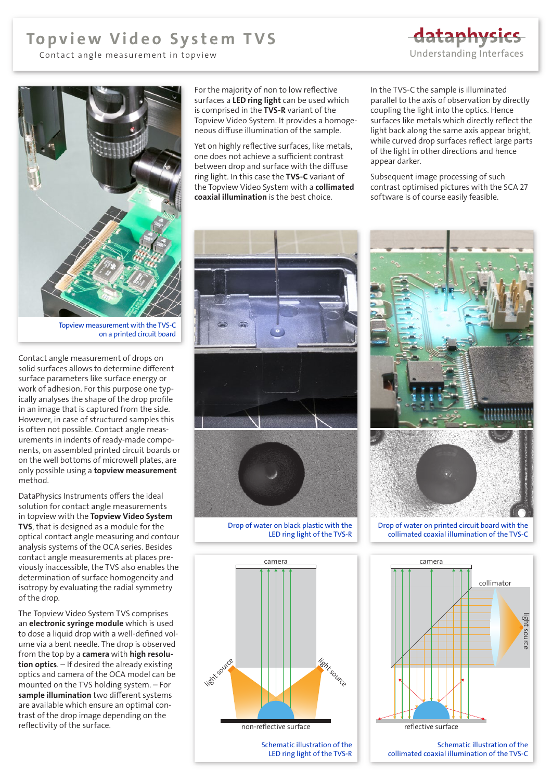## Topview Video System TVS

Contact angle measurement in topview

dataphysics [Understanding Interfaces](https://www.dataphysics-instruments.com)



Topview measurement with the TVS-C on a printed circuit board

Contact angle measurement of drops on solid surfaces allows to determine different surface parameters like surface energy or work of adhesion. For this purpose one typically analyses the shape of the drop profile in an image that is captured from the side. However, in case of structured samples this is often not possible. Contact angle measurements in indents of ready-made components, on assembled printed circuit boards or on the well bottoms of microwell plates, are only possible using a **topview measurement** method.

DataPhysics Instruments offers the ideal solution for contact angle measurements in topview with the Topview Video System TVS, that is designed as a module for the optical contact angle measuring and contour analysis systems of the OCA series. Besides contact angle measurements at places previously inaccessible, the TVS also enables the determination of surface homogeneity and isotropy by evaluating the radial symmetry of the drop.

The Topview Video System TVS comprises an electronic syringe module which is used to dose a liquid drop with a well-defined volume via a bent needle. The drop is observed from the top by a camera with high resolution optics. – If desired the already existing optics and camera of the OCA model can be mounted on the TVS holding system. – For sample illumination two different systems are available which ensure an optimal contrast of the drop image depending on the reflectivity of the surface.

For the majority of non to low reflective surfaces a LED ring light can be used which is comprised in the TVS-R variant of the Topview Video System. It provides a homogeneous diffuse illumination of the sample.

Yet on highly reflective surfaces, like metals, one does not achieve a sufficient contrast between drop and surface with the diffuse ring light. In this case the TVS-C variant of the Topview Video System with a collimated coaxial illumination is the best choice.



Drop of water on black plastic with the LED ring light of the TVS-R



Schematic illustration of the LED ring light of the TVS-R In the TVS-C the sample is illuminated parallel to the axis of observation by directly coupling the light into the optics. Hence surfaces like metals which directly reflect the light back along the same axis appear bright, while curved drop surfaces reflect large parts of the light in other directions and hence appear darker.

Subsequent image processing of such contrast optimised pictures with the SCA 27 software is of course easily feasible.



Drop of water on printed circuit board with the collimated coaxial illumination of the TVS-C



Schematic illustration of the collimated coaxial illumination of the TVS-C